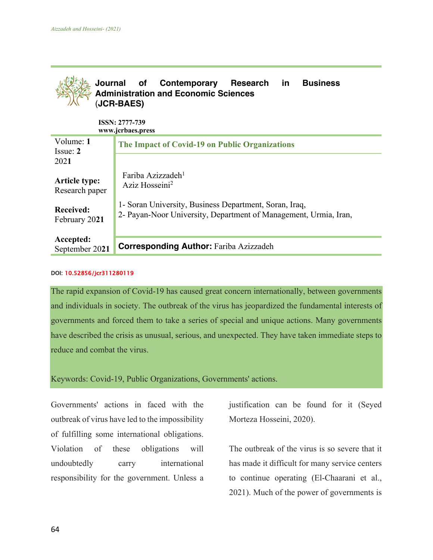

**ISSN: 2777-739 www.jcrbaes.press**

| Volume: 1<br>$I$ ssue: $2$             | The Impact of Covid-19 on Public Organizations                                                                             |
|----------------------------------------|----------------------------------------------------------------------------------------------------------------------------|
| 2021                                   |                                                                                                                            |
| <b>Article type:</b><br>Research paper | Fariba Azizzadeh <sup>1</sup><br>Aziz Hosseini <sup>2</sup>                                                                |
| <b>Received:</b><br>February 2021      | 1- Soran University, Business Department, Soran, Iraq,<br>2- Payan-Noor University, Department of Management, Urmia, Iran, |
| Accepted:<br>September 2021            | <b>Corresponding Author: Fariba Azizzadeh</b>                                                                              |

## DOI: 10.52856/jcr311280119

The rapid expansion of Covid-19 has caused great concern internationally, between governments and individuals in society. The outbreak of the virus has jeopardized the fundamental interests of governments and forced them to take a series of special and unique actions. Many governments have described the crisis as unusual, serious, and unexpected. They have taken immediate steps to reduce and combat the virus.

## Keywords: Covid-19, Public Organizations, Governments' actions.

Governments' actions in faced with the outbreak of virus have led to the impossibility of fulfilling some international obligations. Violation of these obligations will undoubtedly carry international responsibility for the government. Unless a

justification can be found for it (Seyed Morteza Hosseini, 2020).

The outbreak of the virus is so severe that it has made it difficult for many service centers to continue operating (El-Chaarani et al., 2021). Much of the power of governments is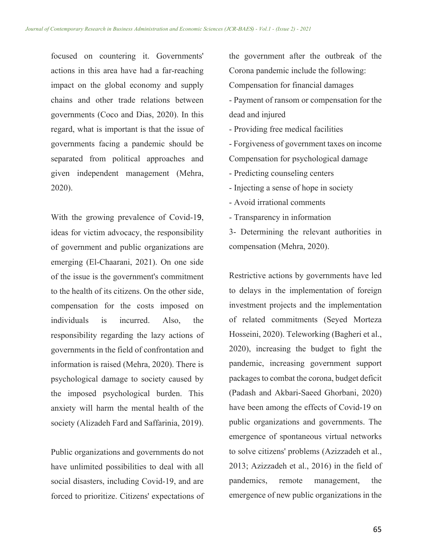focused on countering it. Governments' actions in this area have had a far-reaching impact on the global economy and supply chains and other trade relations between governments (Coco and Dias, 2020). In this regard, what is important is that the issue of governments facing a pandemic should be separated from political approaches and given independent management (Mehra, 2020).

With the growing prevalence of Covid-19, ideas for victim advocacy, the responsibility of government and public organizations are emerging (El-Chaarani, 2021). On one side of the issue is the government's commitment to the health of its citizens. On the other side, compensation for the costs imposed on individuals is incurred. Also, the responsibility regarding the lazy actions of governments in the field of confrontation and information is raised (Mehra, 2020). There is psychological damage to society caused by the imposed psychological burden. This anxiety will harm the mental health of the society (Alizadeh Fard and Saffarinia, 2019).

Public organizations and governments do not have unlimited possibilities to deal with all social disasters, including Covid-19, and are forced to prioritize. Citizens' expectations of the government after the outbreak of the Corona pandemic include the following: Compensation for financial damages

- Payment of ransom or compensation for the dead and injured

- Providing free medical facilities

- Forgiveness of government taxes on income Compensation for psychological damage - Predicting counseling centers

- Injecting a sense of hope in society

- Avoid irrational comments

- Transparency in information

3- Determining the relevant authorities in compensation (Mehra, 2020).

Restrictive actions by governments have led to delays in the implementation of foreign investment projects and the implementation of related commitments (Seyed Morteza Hosseini, 2020). Teleworking (Bagheri et al., 2020), increasing the budget to fight the pandemic, increasing government support packages to combat the corona, budget deficit (Padash and Akbari-Saeed Ghorbani, 2020) have been among the effects of Covid-19 on public organizations and governments. The emergence of spontaneous virtual networks to solve citizens' problems (Azizzadeh et al., 2013; Azizzadeh et al., 2016) in the field of pandemics, remote management, the emergence of new public organizations in the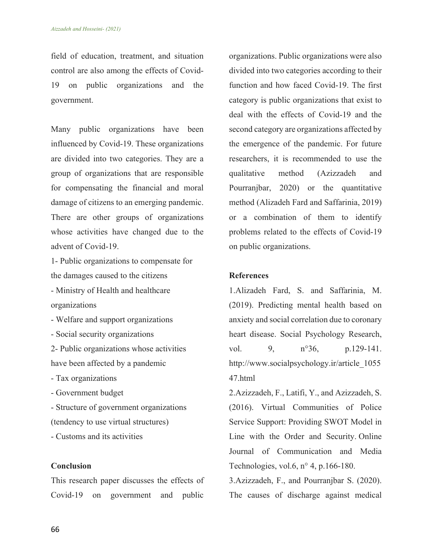field of education, treatment, and situation control are also among the effects of Covid-19 on public organizations and the government.

Many public organizations have been influenced by Covid-19. These organizations are divided into two categories. They are a group of organizations that are responsible for compensating the financial and moral damage of citizens to an emerging pandemic. There are other groups of organizations whose activities have changed due to the advent of Covid-19.

1- Public organizations to compensate for the damages caused to the citizens - Ministry of Health and healthcare

organizations

- Welfare and support organizations
- Social security organizations

2- Public organizations whose activities have been affected by a pandemic

- Tax organizations
- Government budget

- Structure of government organizations

(tendency to use virtual structures)

- Customs and its activities

## **Conclusion**

This research paper discusses the effects of Covid-19 on government and public

organizations. Public organizations were also divided into two categories according to their function and how faced Covid-19. The first category is public organizations that exist to deal with the effects of Covid-19 and the second category are organizations affected by the emergence of the pandemic. For future researchers, it is recommended to use the qualitative method (Azizzadeh and Pourranjbar, 2020) or the quantitative method (Alizadeh Fard and Saffarinia, 2019) or a combination of them to identify problems related to the effects of Covid-19 on public organizations.

## **References**

1.Alizadeh Fard, S. and Saffarinia, M. (2019). Predicting mental health based on anxiety and social correlation due to coronary heart disease. Social Psychology Research, vol. 9, n°36, p.129-141. http://www.socialpsychology.ir/article\_1055 47.html

2.Azizzadeh, F., Latifi, Y., and Azizzadeh, S. (2016). Virtual Communities of Police Service Support: Providing SWOT Model in Line with the Order and Security. Online Journal of Communication and Media Technologies, vol.6,  $n^{\circ}$  4, p.166-180.

3.Azizzadeh, F., and Pourranjbar S. (2020). The causes of discharge against medical